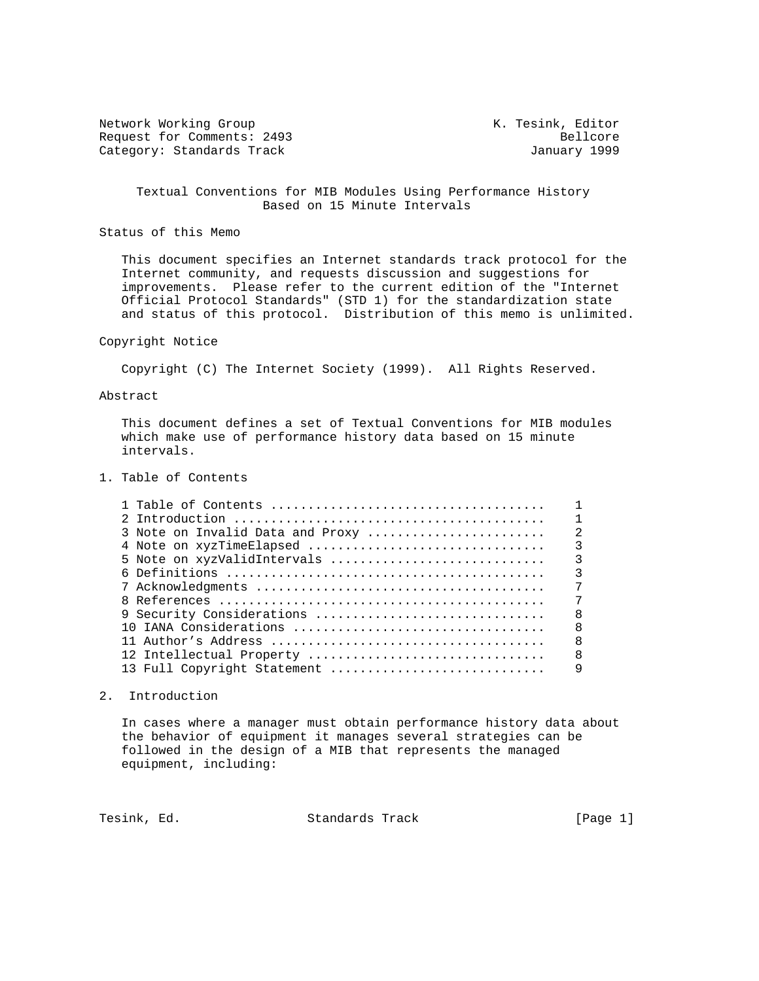Network Working Group Network Working Group Network K. Tesink, Editor Request for Comments: 2493 Bellcore<br>
Category: Standards Track and South Category: Standards Track Category: Standards Track

 Textual Conventions for MIB Modules Using Performance History Based on 15 Minute Intervals

Status of this Memo

 This document specifies an Internet standards track protocol for the Internet community, and requests discussion and suggestions for improvements. Please refer to the current edition of the "Internet Official Protocol Standards" (STD 1) for the standardization state and status of this protocol. Distribution of this memo is unlimited.

### Copyright Notice

Copyright (C) The Internet Society (1999). All Rights Reserved.

#### Abstract

 This document defines a set of Textual Conventions for MIB modules which make use of performance history data based on 15 minute intervals.

1. Table of Contents

| 3 Note on Invalid Data and Proxy | $\mathfrak{D}$          |
|----------------------------------|-------------------------|
| 4 Note on xyzTimeElapsed         | $\overline{\mathbf{3}}$ |
|                                  |                         |
|                                  | $\overline{\mathbf{3}}$ |
|                                  | 7                       |
|                                  | 7                       |
| 9 Security Considerations        | -8                      |
| 10 IANA Considerations           | 8                       |
|                                  | $\mathsf{R}$            |
| 12 Intellectual Property         | $\mathsf{B}$            |
| 13 Full Copyright Statement      | 9                       |

## 2. Introduction

 In cases where a manager must obtain performance history data about the behavior of equipment it manages several strategies can be followed in the design of a MIB that represents the managed equipment, including:

Tesink, Ed. Standards Track [Page 1]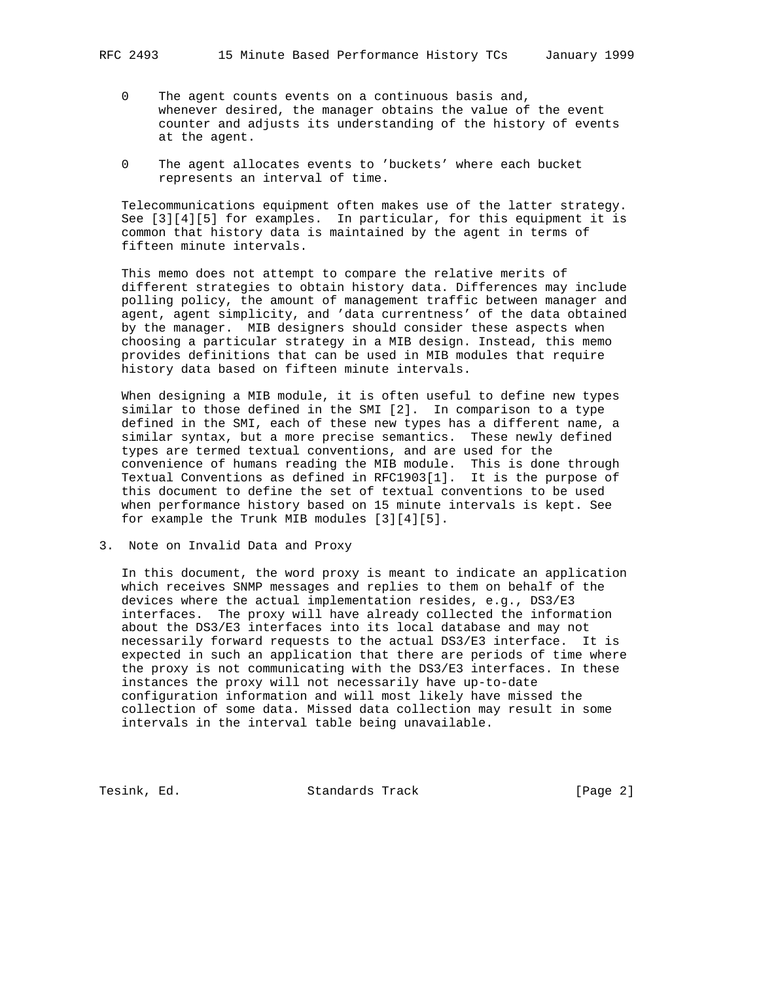- 0 The agent counts events on a continuous basis and, whenever desired, the manager obtains the value of the event counter and adjusts its understanding of the history of events at the agent.
- 0 The agent allocates events to 'buckets' where each bucket represents an interval of time.

 Telecommunications equipment often makes use of the latter strategy. See [3][4][5] for examples. In particular, for this equipment it is common that history data is maintained by the agent in terms of fifteen minute intervals.

 This memo does not attempt to compare the relative merits of different strategies to obtain history data. Differences may include polling policy, the amount of management traffic between manager and agent, agent simplicity, and 'data currentness' of the data obtained by the manager. MIB designers should consider these aspects when choosing a particular strategy in a MIB design. Instead, this memo provides definitions that can be used in MIB modules that require history data based on fifteen minute intervals.

 When designing a MIB module, it is often useful to define new types similar to those defined in the SMI [2]. In comparison to a type defined in the SMI, each of these new types has a different name, a similar syntax, but a more precise semantics. These newly defined types are termed textual conventions, and are used for the convenience of humans reading the MIB module. This is done through Textual Conventions as defined in RFC1903[1]. It is the purpose of this document to define the set of textual conventions to be used when performance history based on 15 minute intervals is kept. See for example the Trunk MIB modules [3][4][5].

3. Note on Invalid Data and Proxy

 In this document, the word proxy is meant to indicate an application which receives SNMP messages and replies to them on behalf of the devices where the actual implementation resides, e.g., DS3/E3 interfaces. The proxy will have already collected the information about the DS3/E3 interfaces into its local database and may not necessarily forward requests to the actual DS3/E3 interface. It is expected in such an application that there are periods of time where the proxy is not communicating with the DS3/E3 interfaces. In these instances the proxy will not necessarily have up-to-date configuration information and will most likely have missed the collection of some data. Missed data collection may result in some intervals in the interval table being unavailable.

Tesink, Ed. Standards Track [Page 2]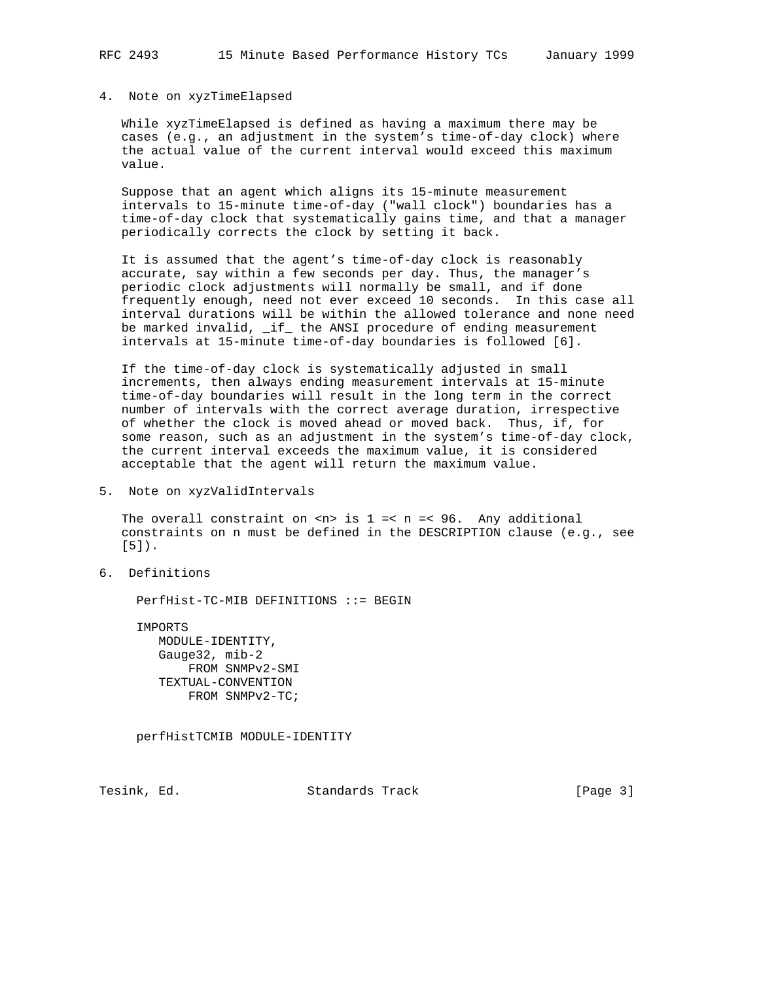#### 4. Note on xyzTimeElapsed

 While xyzTimeElapsed is defined as having a maximum there may be cases (e.g., an adjustment in the system's time-of-day clock) where the actual value of the current interval would exceed this maximum value.

 Suppose that an agent which aligns its 15-minute measurement intervals to 15-minute time-of-day ("wall clock") boundaries has a time-of-day clock that systematically gains time, and that a manager periodically corrects the clock by setting it back.

 It is assumed that the agent's time-of-day clock is reasonably accurate, say within a few seconds per day. Thus, the manager's periodic clock adjustments will normally be small, and if done frequently enough, need not ever exceed 10 seconds. In this case all interval durations will be within the allowed tolerance and none need be marked invalid, \_if\_ the ANSI procedure of ending measurement intervals at 15-minute time-of-day boundaries is followed [6].

 If the time-of-day clock is systematically adjusted in small increments, then always ending measurement intervals at 15-minute time-of-day boundaries will result in the long term in the correct number of intervals with the correct average duration, irrespective of whether the clock is moved ahead or moved back. Thus, if, for some reason, such as an adjustment in the system's time-of-day clock, the current interval exceeds the maximum value, it is considered acceptable that the agent will return the maximum value.

5. Note on xyzValidIntervals

The overall constraint on  $\langle n \rangle$  is  $1 = \langle n \rangle = \langle 96 \rangle$ . Any additional constraints on n must be defined in the DESCRIPTION clause (e.g., see [5]).

6. Definitions

PerfHist-TC-MIB DEFINITIONS ::= BEGIN

 IMPORTS MODULE-IDENTITY, Gauge32, mib-2 FROM SNMPv2-SMI TEXTUAL-CONVENTION FROM SNMPv2-TC;

perfHistTCMIB MODULE-IDENTITY

Tesink, Ed. Standards Track [Page 3]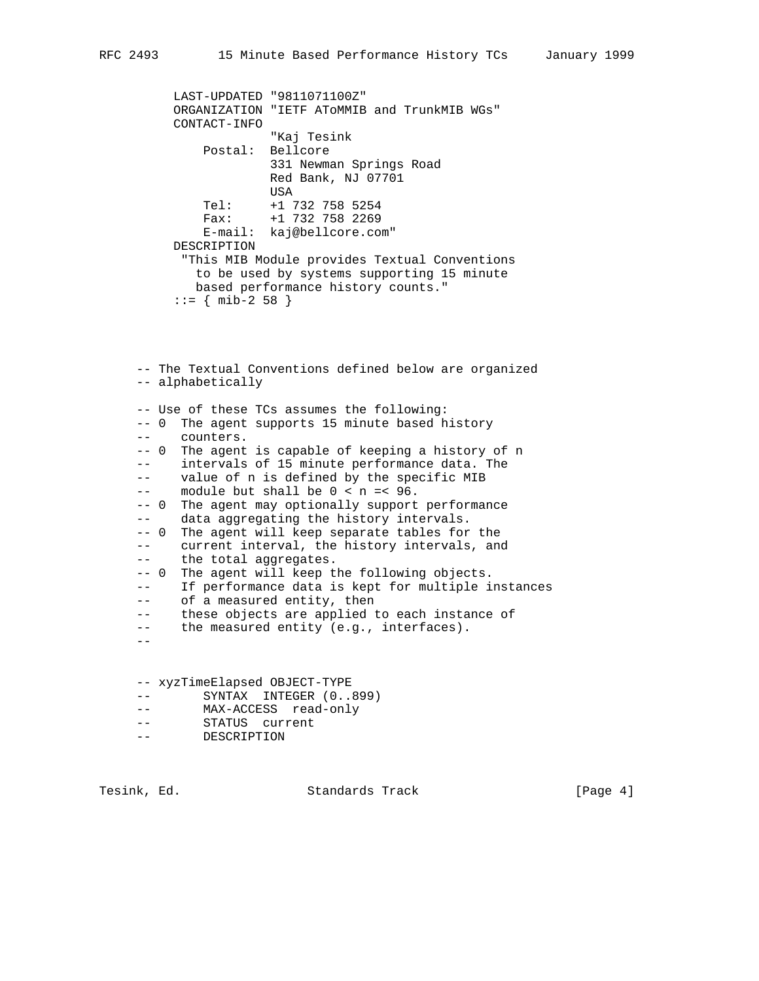LAST-UPDATED "9811071100Z" ORGANIZATION "IETF AToMMIB and TrunkMIB WGs" CONTACT-INFO "Kaj Tesink Postal: Bellcore 331 Newman Springs Road Red Bank, NJ 07701 USA Tel: +1 732 758 5254 Fax: +1 732 758 2269 E-mail: kaj@bellcore.com" DESCRIPTION "This MIB Module provides Textual Conventions to be used by systems supporting 15 minute based performance history counts."

```
::= { mib-2 58 }
```
 -- The Textual Conventions defined below are organized -- alphabetically -- Use of these TCs assumes the following: -- 0 The agent supports 15 minute based history counters. -- 0 The agent is capable of keeping a history of n -- intervals of 15 minute performance data. The -- value of n is defined by the specific MIB  $--$  module but shall be  $0 < n = < 96$ . -- 0 The agent may optionally support performance -- data aggregating the history intervals. -- 0 The agent will keep separate tables for the -- current interval, the history intervals, and -- the total aggregates. -- 0 The agent will keep the following objects. -- If performance data is kept for multiple instances -- of a measured entity, then -- these objects are applied to each instance of -- the measured entity (e.g., interfaces).  $- -$ -- xyzTimeElapsed OBJECT-TYPE

- -- SYNTAX INTEGER (0..899)
- -- MAX-ACCESS read-only
- -- STATUS current
- -- DESCRIPTION

Tesink, Ed. Standards Track (Page 4)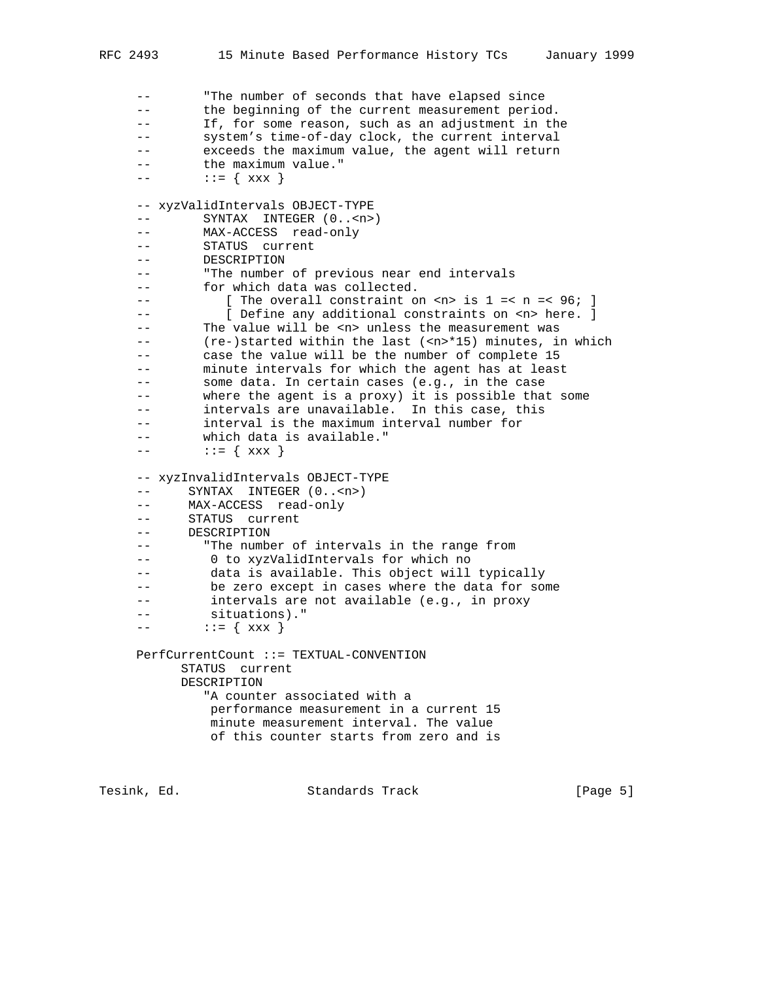-- "The number of seconds that have elapsed since -- the beginning of the current measurement period. -- If, for some reason, such as an adjustment in the -- system's time-of-day clock, the current interval -- exceeds the maximum value, the agent will return -- the maximum value." -- ::= { xxx } -- xyzValidIntervals OBJECT-TYPE -- SYNTAX INTEGER  $(0,.$ <n>) -- MAX-ACCESS read-only -- STATUS current -- DESCRIPTION -- "The number of previous near end intervals -- for which data was collected. -- [ The overall constraint on <n> is 1 =< n =< 96; ]<br>-- [ Define any additional constraints on <n> here. ] -- [ Define any additional constraints on <n> here. ] -- The value will be <n> unless the measurement was -- (re-)started within the last (<n>\*15) minutes, in which -- case the value will be the number of complete 15 -- minute intervals for which the agent has at least -- some data. In certain cases (e.g., in the case -- where the agent is a proxy) it is possible that some -- intervals are unavailable. In this case, this -- interval is the maximum interval number for -- which data is available."  $---$  ::= {  $xxx$  } -- xyzInvalidIntervals OBJECT-TYPE -- SYNTAX INTEGER (0..<n>) -- MAX-ACCESS read-only -- STATUS current -- DESCRIPTION -- "The number of intervals in the range from -- 0 to xyzValidIntervals for which no -- data is available. This object will typically -- be zero except in cases where the data for some -- intervals are not available (e.g., in proxy -- situations)."  $---$  ::= {  $xxx$  } PerfCurrentCount ::= TEXTUAL-CONVENTION STATUS current DESCRIPTION "A counter associated with a performance measurement in a current 15 minute measurement interval. The value of this counter starts from zero and is

Tesink, Ed. Standards Track [Page 5]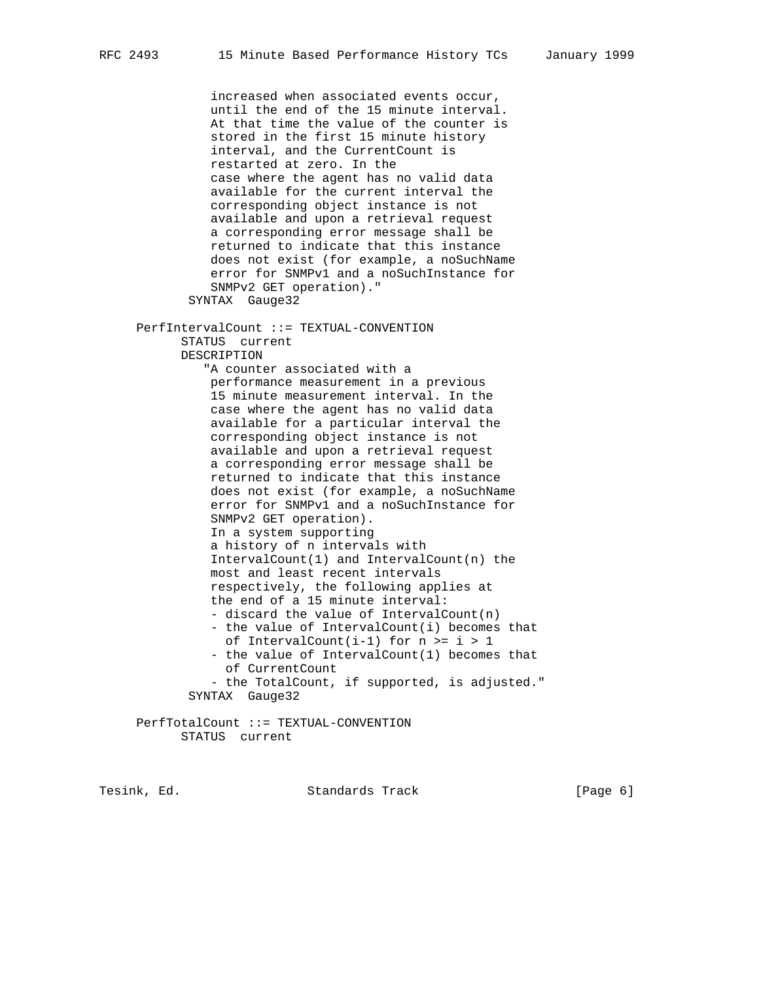increased when associated events occur, until the end of the 15 minute interval. At that time the value of the counter is stored in the first 15 minute history interval, and the CurrentCount is restarted at zero. In the case where the agent has no valid data available for the current interval the corresponding object instance is not available and upon a retrieval request a corresponding error message shall be returned to indicate that this instance does not exist (for example, a noSuchName error for SNMPv1 and a noSuchInstance for SNMPv2 GET operation)." SYNTAX Gauge32 PerfIntervalCount ::= TEXTUAL-CONVENTION STATUS current DESCRIPTION "A counter associated with a performance measurement in a previous 15 minute measurement interval. In the case where the agent has no valid data available for a particular interval the corresponding object instance is not available and upon a retrieval request a corresponding error message shall be returned to indicate that this instance does not exist (for example, a noSuchName error for SNMPv1 and a noSuchInstance for SNMPv2 GET operation). In a system supporting a history of n intervals with IntervalCount(1) and IntervalCount(n) the most and least recent intervals respectively, the following applies at the end of a 15 minute interval: - discard the value of IntervalCount(n) - the value of IntervalCount(i) becomes that of IntervalCount(i-1) for  $n > = i > 1$  - the value of IntervalCount(1) becomes that of CurrentCount - the TotalCount, if supported, is adjusted." SYNTAX Gauge32 PerfTotalCount ::= TEXTUAL-CONVENTION

STATUS current

Tesink, Ed. Standards Track [Page 6]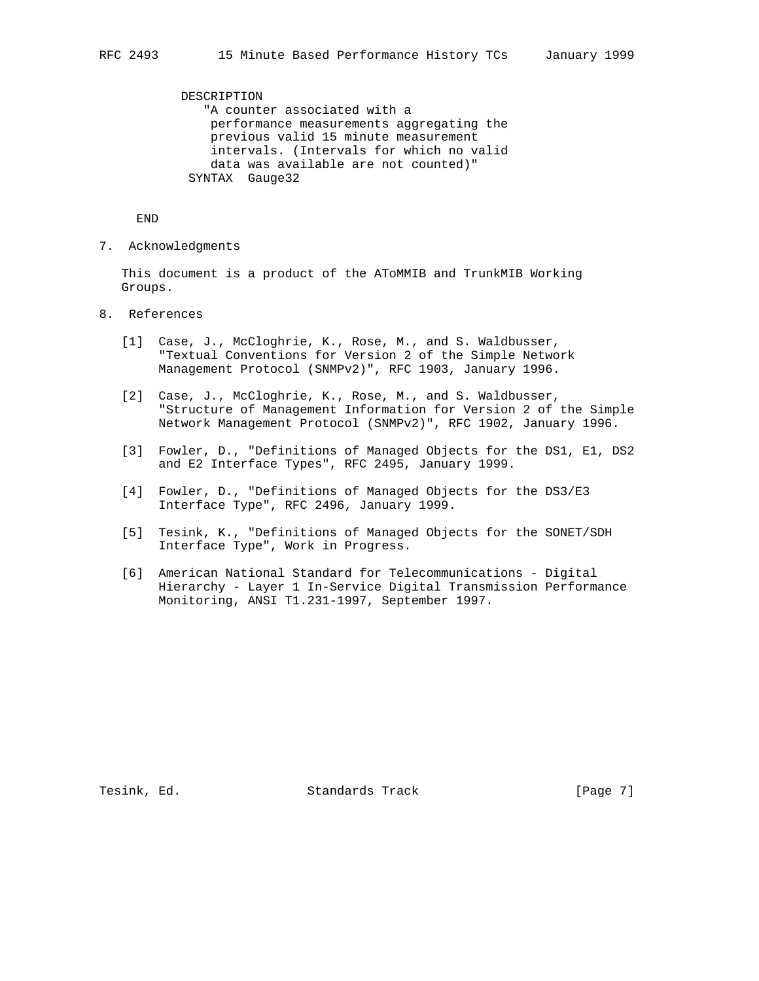DESCRIPTION "A counter associated with a performance measurements aggregating the previous valid 15 minute measurement intervals. (Intervals for which no valid data was available are not counted)" SYNTAX Gauge32

END

7. Acknowledgments

 This document is a product of the AToMMIB and TrunkMIB Working Groups.

- 8. References
	- [1] Case, J., McCloghrie, K., Rose, M., and S. Waldbusser, "Textual Conventions for Version 2 of the Simple Network Management Protocol (SNMPv2)", RFC 1903, January 1996.
	- [2] Case, J., McCloghrie, K., Rose, M., and S. Waldbusser, "Structure of Management Information for Version 2 of the Simple Network Management Protocol (SNMPv2)", RFC 1902, January 1996.
	- [3] Fowler, D., "Definitions of Managed Objects for the DS1, E1, DS2 and E2 Interface Types", RFC 2495, January 1999.
	- [4] Fowler, D., "Definitions of Managed Objects for the DS3/E3 Interface Type", RFC 2496, January 1999.
	- [5] Tesink, K., "Definitions of Managed Objects for the SONET/SDH Interface Type", Work in Progress.
	- [6] American National Standard for Telecommunications Digital Hierarchy - Layer 1 In-Service Digital Transmission Performance Monitoring, ANSI T1.231-1997, September 1997.

Tesink, Ed. Standards Track [Page 7]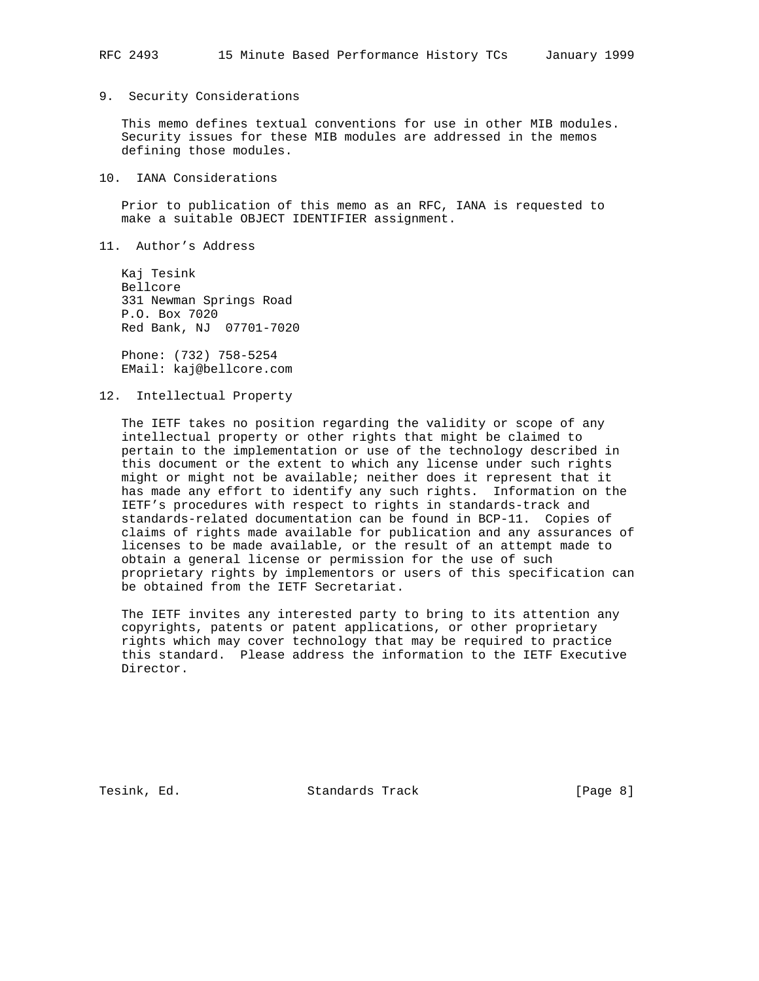#### 9. Security Considerations

 This memo defines textual conventions for use in other MIB modules. Security issues for these MIB modules are addressed in the memos defining those modules.

### 10. IANA Considerations

 Prior to publication of this memo as an RFC, IANA is requested to make a suitable OBJECT IDENTIFIER assignment.

11. Author's Address

 Kaj Tesink Bellcore 331 Newman Springs Road P.O. Box 7020 Red Bank, NJ 07701-7020

 Phone: (732) 758-5254 EMail: kaj@bellcore.com

12. Intellectual Property

 The IETF takes no position regarding the validity or scope of any intellectual property or other rights that might be claimed to pertain to the implementation or use of the technology described in this document or the extent to which any license under such rights might or might not be available; neither does it represent that it has made any effort to identify any such rights. Information on the IETF's procedures with respect to rights in standards-track and standards-related documentation can be found in BCP-11. Copies of claims of rights made available for publication and any assurances of licenses to be made available, or the result of an attempt made to obtain a general license or permission for the use of such proprietary rights by implementors or users of this specification can be obtained from the IETF Secretariat.

 The IETF invites any interested party to bring to its attention any copyrights, patents or patent applications, or other proprietary rights which may cover technology that may be required to practice this standard. Please address the information to the IETF Executive Director.

Tesink, Ed. Standards Track (Page 8)